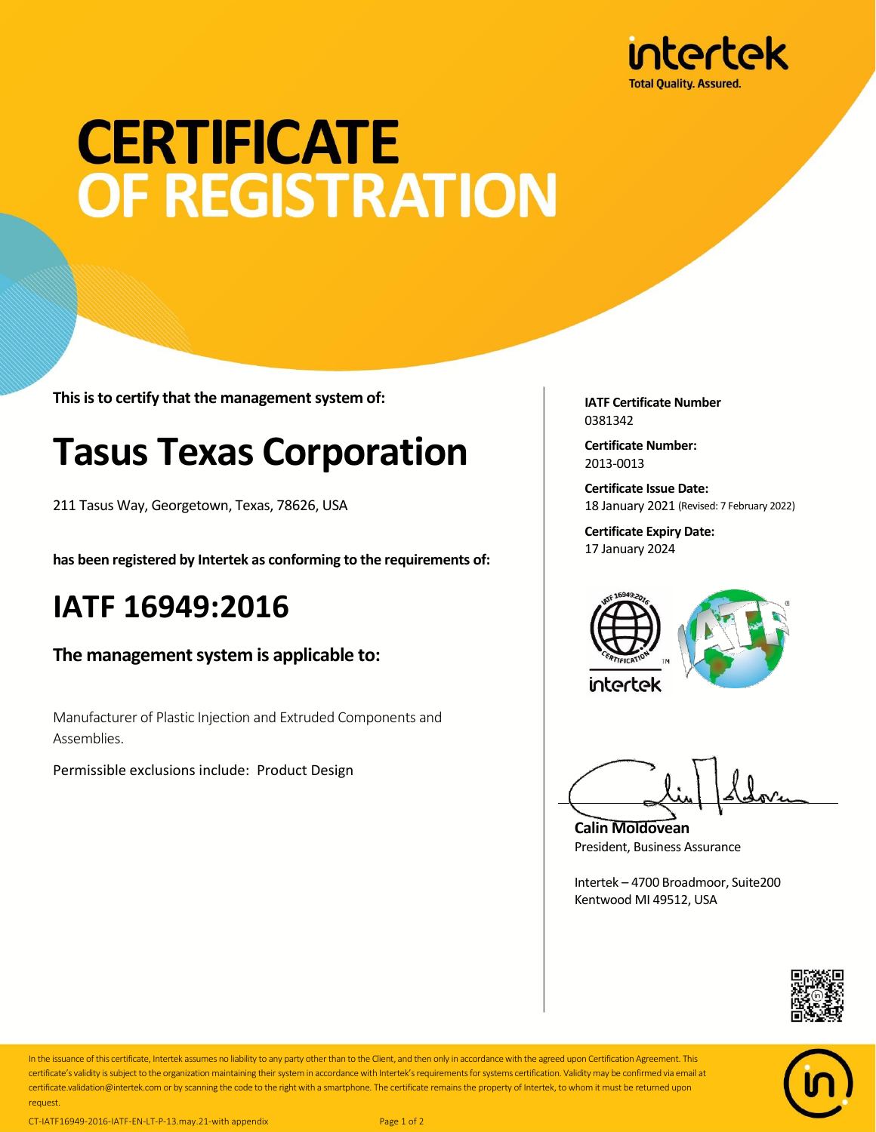

# **CERTIFICATE** OF REGISTRATION

**This is to certify that the management system of:**

### **Tasus Texas Corporation**

211 Tasus Way, Georgetown, Texas, 78626, USA

**has been registered by Intertek as conforming to the requirements of:**

#### **IATF 16949:2016**

**The management system is applicable to:**

Manufacturer of Plastic Injection and Extruded Components and Assemblies.

Permissible exclusions include: Product Design

**IATF Certificate Number** 0381342

**Certificate Number:** 2013-0013

**Certificate Issue Date:** 18 January 2021 (Revised: 7 February 2022)

**Certificate Expiry Date:** 17 January 2024



**Calin Moldovean** President, Business Assurance

Intertek – 4700 Broadmoor, Suite200 Kentwood MI 49512, USA





In the issuance of this certificate, Intertek assumes no liability to any party other than to the Client, and then only in accordance with the agreed upon Certification Agreement. This certificate's validity is subject to the organization maintaining their system in accordance with Intertek's requirements for systems certification. Validity may be confirmed via email at certificate.validation@intertek.com or by scanning the code to the right with a smartphone. The certificate remains the property of Intertek, to whom it must be returned upon request.